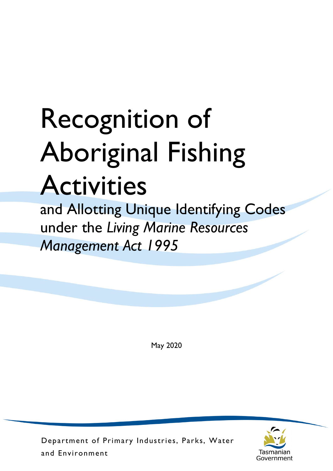## Recognition of Aboriginal Fishing Activities

and Allotting Unique Identifying Codes under the *Living Marine Resources Management Act 1995*

May 2020



Department of Primary Industries, Parks, Water and Environment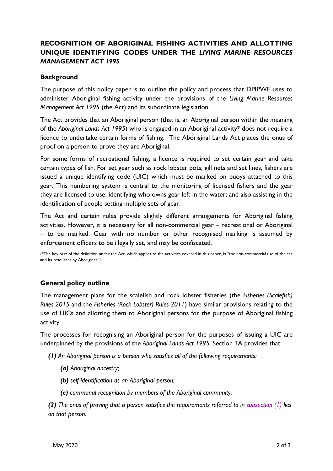## **RECOGNITION OF ABORIGINAL FISHING ACTIVITIES AND ALLOTTING UNIQUE IDENTIFYING CODES UNDER THE** *LIVING MARINE RESOURCES MANAGEMENT ACT 1995*

## **Background**

The purpose of this policy paper is to outline the policy and process that DPIPWE uses to administer Aboriginal fishing activity under the provisions of the *Living Marine Resources Management Act 1995* (the Act) and its subordinate legislation.

The Act provides that an Aboriginal person (that is, an Aboriginal person within the meaning of the *Aboriginal Lands Act 1995*) who is engaged in an Aboriginal activity\* does not require a licence to undertake certain forms of fishing. The Aboriginal Lands Act places the onus of proof on a person to prove they are Aboriginal.

For some forms of recreational fishing, a licence is required to set certain gear and take certain types of fish. For set gear such as rock lobster pots, gill nets and set lines, fishers are issued a unique identifying code (UIC) which must be marked on buoys attached to this gear. This numbering system is central to the monitoring of licensed fishers and the gear they are licensed to use; identifying who owns gear left in the water; and also assisting in the identification of people setting multiple sets of gear.

The Act and certain rules provide slightly different arrangements for Aboriginal fishing activities. However, it is necessary for all non-commercial gear – recreational or Aboriginal – to be marked. Gear with no number or other recognised marking is assumed by enforcement officers to be illegally set, and may be confiscated.

(\*The key part of the definition under the Act, which applies to the activities covered in this paper, is "the non-commercial use of the sea and its resources by Aborigines".)

## **General policy outline**

The management plans for the scalefish and rock lobster fisheries (the *Fisheries (Scalefish) Rules 2015* and the *Fisheries (Rock Lobster) Rules 2011*) have similar provisions relating to the use of UICs and allotting them to Aboriginal persons for the purpose of Aboriginal fishing activity.

The processes for recognising an Aboriginal person for the purposes of issuing a UIC are underpinned by the provisions of the *Aboriginal Lands Act 1995.* Section 3A provides that:

*(1) An Aboriginal person is a person who satisfies all of the following requirements:*

- *(a) Aboriginal ancestry;*
- *(b) self-identification as an Aboriginal person;*
- *(c) communal recognition by members of the Aboriginal community.*

*(2) The onus of proving that a person satisfies the requirements referred to in [subsection \(1\)](http://www.thelaw.tas.gov.au/tocview/index.w3p;cond=;doc_id=98%2B%2B1995%2BGS3A%40EN%2B20170522000000;histon=;pdfauthverid=;prompt=;rec=;rtfauthverid=;term=;webauthverid=) lies on that person.*